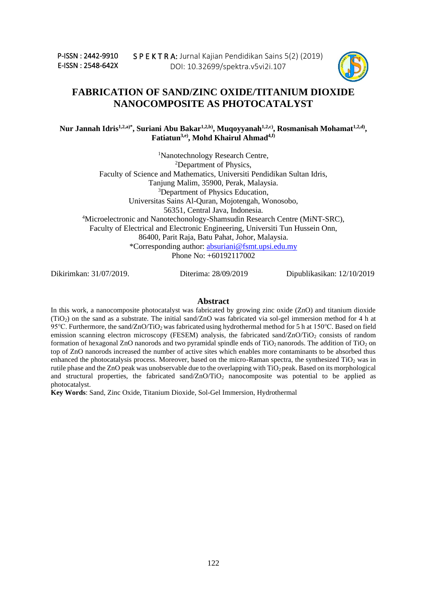

# **FABRICATION OF SAND/ZINC OXIDE/TITANIUM DIOXIDE NANOCOMPOSITE AS PHOTOCATALYST**

**Nur Jannah Idris1,2,a)\*, Suriani Abu Bakar1,2,b) , Muqoyyanah1,2,c) , Rosmanisah Mohamat1,2,d) , Fatiatun3,e) , Mohd Khairul Ahmad4,f)**

<sup>1</sup>Nanotechnology Research Centre, <sup>2</sup>Department of Physics, Faculty of Science and Mathematics, Universiti Pendidikan Sultan Idris, Tanjung Malim, 35900, Perak, Malaysia. <sup>3</sup>Department of Physics Education, Universitas Sains Al-Quran, Mojotengah, Wonosobo, 56351, Central Java, Indonesia. <sup>4</sup>Microelectronic and Nanotechonology-Shamsudin Research Centre (MiNT-SRC), Faculty of Electrical and Electronic Engineering, Universiti Tun Hussein Onn, 86400, Parit Raja, Batu Pahat, Johor, Malaysia. \*Corresponding author: [absuriani@fsmt.upsi.edu.my](mailto:absuriani@fsmt.upsi.edu.my) Phone No: +60192117002

Dikirimkan: 31/07/2019. Diterima: 28/09/2019 Dipublikasikan: 12/10/2019

### **Abstract**

In this work, a nanocomposite photocatalyst was fabricated by growing zinc oxide (ZnO) and titanium dioxide (TiO2) on the sand as a substrate. The initial sand/ZnO was fabricated via sol-gel immersion method for 4 h at 95℃. Furthermore, the sand/ZnO/TiO2 was fabricated using hydrothermal method for 5 h at 150℃. Based on field emission scanning electron microscopy (FESEM) analysis, the fabricated sand/ZnO/TiO<sub>2</sub> consists of random formation of hexagonal ZnO nanorods and two pyramidal spindle ends of  $TiO<sub>2</sub>$  nanorods. The addition of  $TiO<sub>2</sub>$  on top of ZnO nanorods increased the number of active sites which enables more contaminants to be absorbed thus enhanced the photocatalysis process. Moreover, based on the micro-Raman spectra, the synthesized  $TiO<sub>2</sub>$  was in rutile phase and the ZnO peak was unobservable due to the overlapping with  $TiO<sub>2</sub>$  peak. Based on its morphological and structural properties, the fabricated sand/ $ZnO/TiO<sub>2</sub>$  nanocomposite was potential to be applied as photocatalyst.

**Key Words**: Sand, Zinc Oxide, Titanium Dioxide, Sol-Gel Immersion, Hydrothermal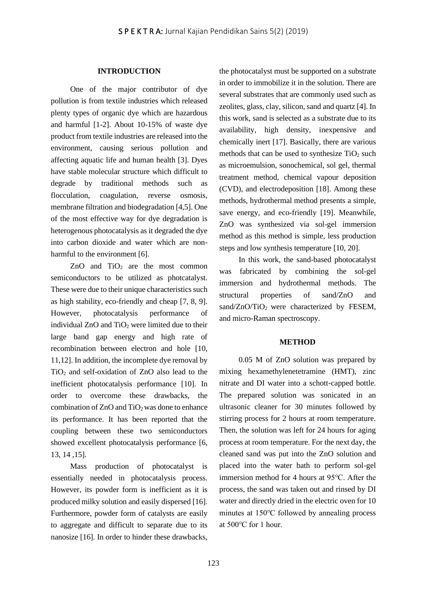## **INTRODUCTION**

One of the major contributor of dye pollution is from textile industries which released plenty types of organic dye which are hazardous and harmful [1-2]. About 10-15% of waste dye product from textile industries are released into the environment, causing serious pollution and affecting aquatic life and human health [3]. Dyes have stable molecular structure which difficult to degrade by traditional methods such as flocculation, coagulation, reverse osmosis, membrane filtration and biodegradation [4,5]. One of the most effective way for dye degradation is heterogenous photocatalysis as it degraded the dye into carbon dioxide and water which are nonharmful to the environment [6].

ZnO and  $TiO<sub>2</sub>$  are the most common semiconductors to be utilized as photcatalyst. These were due to their unique characteristics such as high stability, eco-friendly and cheap [7, 8, 9]. However, photocatalysis performance of individual ZnO and TiO<sub>2</sub> were limited due to their large band gap energy and high rate of recombination between electron and hole [10, 11,12]. In addition, the incomplete dye removal by TiO<sup>2</sup> and self-oxidation of ZnO also lead to the inefficient photocatalysis performance [10]. In order to overcome these drawbacks, the combination of ZnO and TiO2 was done to enhance its performance. It has been reported that the coupling between these two semiconductors showed excellent photocatalysis performance [6, 13, 14 ,15].

Mass production of photocatalyst is essentially needed in photocatalysis process. However, its powder form is inefficient as it is produced milky solution and easily dispersed [16]. Furthermore, powder form of catalysts are easily to aggregate and difficult to separate due to its nanosize [16]. In order to hinder these drawbacks, the photocatalyst must be supported on a substrate in order to immobilize it in the solution. There are several substrates that are commonly used such as zeolites, glass, clay, silicon, sand and quartz [4]. In this work, sand is selected as a substrate due to its availability, high density, inexpensive and chemically inert [17]. Basically, there are various methods that can be used to synthesize  $TiO<sub>2</sub>$  such as microemulsion, sonochemical, sol gel, thermal treatment method, chemical vapour deposition (CVD), and electrodeposition [18]. Among these methods, hydrothermal method presents a simple, save energy, and eco-friendly [19]. Meanwhile, ZnO was synthesized via sol-gel immersion method as this method is simple, less production steps and low synthesis temperature [10, 20].

In this work, the sand-based photocatalyst was fabricated by combining the sol-gel immersion and hydrothermal methods. The structural properties of sand/ZnO and sand/ZnO/TiO<sub>2</sub> were characterized by FESEM, and micro-Raman spectroscopy.

## **METHOD**

0.05 M of ZnO solution was prepared by mixing hexamethylenetetramine (HMT), zinc nitrate and DI water into a schott-capped bottle. The prepared solution was sonicated in an ultrasonic cleaner for 30 minutes followed by stirring process for 2 hours at room temperature. Then, the solution was left for 24 hours for aging process at room temperature. For the next day, the cleaned sand was put into the ZnO solution and placed into the water bath to perform sol-gel immersion method for 4 hours at 95℃. After the process, the sand was taken out and rinsed by DI water and directly dried in the electric oven for 10 minutes at 150℃ followed by annealing process at 500℃ for 1 hour.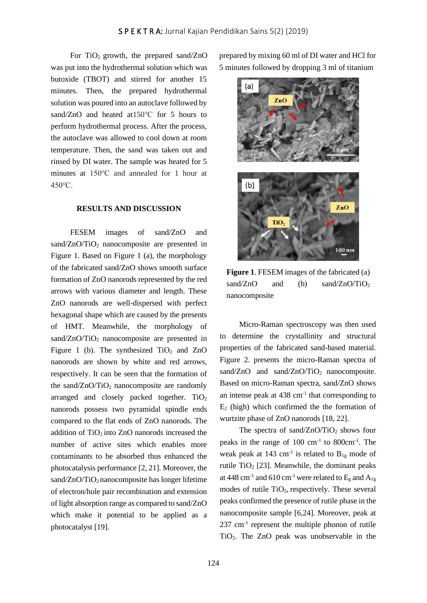For  $TiO<sub>2</sub>$  growth, the prepared sand/ZnO was put into the hydrothermal solution which was butoxide (TBOT) and stirred for another 15 minutes. Then, the prepared hydrothermal solution was poured into an autoclave followed by sand/ZnO and heated at 150 °C for 5 hours to perform hydrothermal process. After the process, the autoclave was allowed to cool down at room temperature. Then, the sand was taken out and rinsed by DI water. The sample was heated for 5 minutes at 150℃ and annealed for 1 hour at 450℃.

#### **RESULTS AND DISCUSSION**

FESEM images of sand/ZnO and sand/ $ZnO/TiO<sub>2</sub>$  nanocomposite are presented in Figure 1. Based on Figure 1 (a), the morphology of the fabricated sand/ZnO shows smooth surface formation of ZnO nanorods represented by the red arrows with various diameter and length. These ZnO nanorods are well-dispersed with perfect hexagonal shape which are caused by the presents of HMT. Meanwhile, the morphology of sand/ZnO/TiO<sub>2</sub> nanocomposite are presented in Figure 1 (b). The synthesized  $TiO<sub>2</sub>$  and  $ZnO$ nanorods are shown by white and red arrows, respectively. It can be seen that the formation of the sand/ $ZnO/TiO<sub>2</sub>$  nanocomposite are randomly arranged and closely packed together.  $TiO<sub>2</sub>$ nanorods possess two pyramidal spindle ends compared to the flat ends of ZnO nanorods. The addition of  $TiO<sub>2</sub>$  into ZnO nanorods increased the number of active sites which enables more contaminants to be absorbed thus enhanced the photocatalysis performance [2, 21]. Moreover, the sand/ZnO/TiO<sub>2</sub> nanocomposite has longer lifetime of electron/hole pair recombination and extension of light absorption range as compared to sand/ZnO which make it potential to be applied as a photocatalyst [19].

prepared by mixing 60 ml of DI water and HCl for 5 minutes followed by dropping 3 ml of titanium



**Figure 1**. FESEM images of the fabricated (a) sand/ZnO and (b) sand/ZnO/TiO<sub>2</sub> nanocomposite

Micro-Raman spectroscopy was then used to determine the crystallinity and structural properties of the fabricated sand-based material. Figure 2. presents the micro-Raman spectra of sand/ZnO and sand/ZnO/TiO<sub>2</sub> nanocomposite. Based on micro-Raman spectra, sand/ZnO shows an intense peak at  $438 \text{ cm}^{-1}$  that corresponding to  $E_2$  (high) which confirmed the the formation of wurtzite phase of ZnO nanorods [18, 22].

The spectra of sand/ $ZnO/TiO<sub>2</sub>$  shows four peaks in the range of 100 cm<sup>-1</sup> to 800cm<sup>-1</sup>. The weak peak at 143 cm<sup>-1</sup> is related to  $B_{1g}$  mode of rutile TiO<sub>2</sub> [23]. Meanwhile, the dominant peaks at 448 cm<sup>-1</sup> and 610 cm<sup>-1</sup> were related to  $E<sub>g</sub>$  and  $A<sub>1g</sub>$ modes of rutile  $TiO<sub>2</sub>$ , respectively. These several peaks confirmed the presence of rutile phase in the nanocomposite sample [6,24]. Moreover, peak at 237 cm-1 represent the multiple phonon of rutile TiO2. The ZnO peak was unobservable in the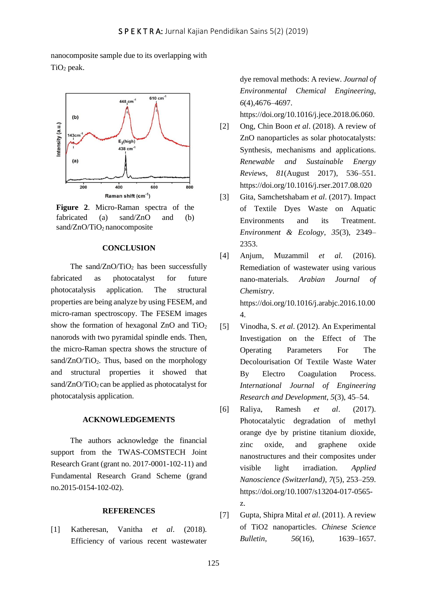nanocomposite sample due to its overlapping with TiO<sub>2</sub> peak.



**Figure 2**. Micro-Raman spectra of the fabricated (a) sand/ZnO and (b) sand/ZnO/TiO<sub>2</sub> nanocomposite

# **CONCLUSION**

The sand/ $ZnO/TiO<sub>2</sub>$  has been successfully fabricated as photocatalyst for future photocatalysis application. The structural properties are being analyze by using FESEM, and micro-raman spectroscopy. The FESEM images show the formation of hexagonal  $ZnO$  and  $TiO<sub>2</sub>$ nanorods with two pyramidal spindle ends. Then, the micro-Raman spectra shows the structure of sand/ $ZnO/TiO<sub>2</sub>$ . Thus, based on the morphology and structural properties it showed that sand/ $ZnO/TiO<sub>2</sub>$  can be applied as photocatalyst for photocatalysis application.

# **ACKNOWLEDGEMENTS**

The authors acknowledge the financial support from the TWAS-COMSTECH Joint Research Grant (grant no. 2017-0001-102-11) and Fundamental Research Grand Scheme (grand no.2015-0154-102-02).

#### **REFERENCES**

[1] Katheresan, Vanitha *et al*. (2018). Efficiency of various recent wastewater dye removal methods: A review. *Journal of Environmental Chemical Engineering*, *6*(4),4676–4697.

[https://doi.org/10.1016/j.jece.2018.06.060.](https://doi.org/10.1016/j.jece.2018.06.060)

- [2] Ong, Chin Boon *et al*. (2018). A review of ZnO nanoparticles as solar photocatalysts: Synthesis, mechanisms and applications. *Renewable and Sustainable Energy Reviews*, *81*(August 2017), 536–551. <https://doi.org/10.1016/j.rser.2017.08.020>
- [3] Gita, Samchetshabam *et al*. (2017). Impact of Textile Dyes Waste on Aquatic Environments and its Treatment. *Environment & Ecology*, *35*(3), 2349– 2353.
- [4] Anjum, Muzammil *et al.* (2016). Remediation of wastewater using various nano-materials. *Arabian Journal of Chemistry*. https://doi.org/10.1016/j.arabjc.2016.10.00 4.
- [5] Vinodha, S. *et al*. (2012). An Experimental Investigation on the Effect of The Operating Parameters For The Decolourisation Of Textile Waste Water By Electro Coagulation Process. *International Journal of Engineering Research and Development*, *5*(3), 45–54.
- [6] Raliya, Ramesh *et al*. (2017). Photocatalytic degradation of methyl orange dye by pristine titanium dioxide, zinc oxide, and graphene oxide nanostructures and their composites under visible light irradiation. *Applied Nanoscience (Switzerland)*, *7*(5), 253–259. https://doi.org/10.1007/s13204-017-0565 z.
- [7] Gupta, Shipra Mital *et al*. (2011). A review of TiO2 nanoparticles. *Chinese Science Bulletin*, *56*(16), 1639–1657.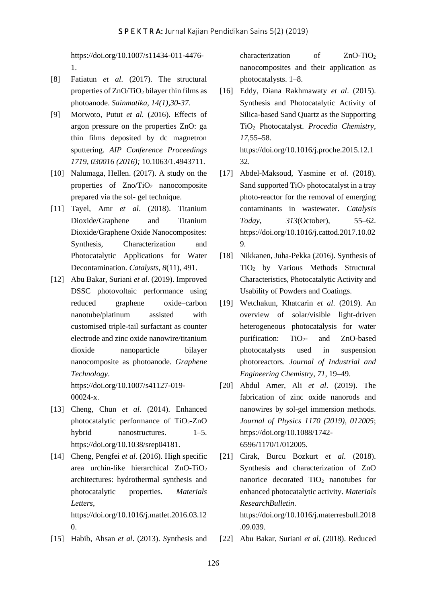[https://doi.org/10.1007/s11434-011-4476-](https://doi.org/10.1007/s11434-011-4476-1) [1.](https://doi.org/10.1007/s11434-011-4476-1)

- [8] Fatiatun *et al*. (2017). The structural properties of  $ZnO/TiO<sub>2</sub>$  bilayer thin films as photoanode. *Sainmatika, 14(1),30-37.*
- [9] Morwoto, Putut *et al.* (2016). Effects of argon pressure on the properties ZnO: ga thin films deposited by dc magnetron sputtering. *AIP Conference Proceedings 1719, 030016 (2016);* 10.1063/1.4943711.
- [10] Nalumaga, Hellen. (2017). A study on the properties of  $Zno/TiO<sub>2</sub>$  nanocomposite prepared via the sol- gel technique.
- [11] Tayel, Amr *et al*. (2018). Titanium Dioxide/Graphene and Titanium Dioxide/Graphene Oxide Nanocomposites: Synthesis, Characterization and Photocatalytic Applications for Water Decontamination. *Catalysts*, *8*(11), 491.
- [12] Abu Bakar, Suriani *et al*. (2019). Improved DSSC photovoltaic performance using reduced graphene oxide–carbon nanotube/platinum assisted with customised triple‑tail surfactant as counter electrode and zinc oxide nanowire/titanium dioxide nanoparticle bilayer nanocomposite as photoanode. *Graphene Technology*. https://doi.org/10.1007/s41127-019-

00024-x.

- [13] Cheng, Chun *et al.* (2014). Enhanced photocatalytic performance of  $TiO<sub>2</sub>$ -ZnO hybrid nanostructures. 1–5. https://doi.org/10.1038/srep04181.
- [14] Cheng, Pengfei *et al*. (2016). High specific area urchin-like hierarchical  $ZnO-TiO<sub>2</sub>$ architectures: hydrothermal synthesis and photocatalytic properties. *Materials Letters*, https://doi.org/10.1016/j.matlet.2016.03.12 0.
- [15] Habib, Ahsan *et al*. (2013). *S*ynthesis and

characterization of  $ZnO-TiO<sub>2</sub>$ nanocomposites and their application as photocatalysts. 1–8.

- [16] Eddy, Diana Rakhmawaty *et al*. (2015). Synthesis and Photocatalytic Activity of Silica-based Sand Quartz as the Supporting TiO<sup>2</sup> Photocatalyst. *Procedia Chemistry*, *17*,55–58. [https://doi.org/10.1016/j.proche.2015.12.1](https://doi.org/10.1016/j.proche.2015.12.132) [32.](https://doi.org/10.1016/j.proche.2015.12.132)
- [17] Abdel-Maksoud, Yasmine *et al.* (2018). Sand supported  $TiO<sub>2</sub>$  photocatalyst in a tray photo-reactor for the removal of emerging contaminants in wastewater. *Catalysis Today*, *313*(October), 55–62. [https://doi.org/10.1016/j.cattod.2017.10.02](https://doi.org/10.1016/j.cattod.2017.10.029) [9.](https://doi.org/10.1016/j.cattod.2017.10.029)
- [18] Nikkanen, Juha-Pekka (2016). Synthesis of TiO<sup>2</sup> by Various Methods Structural Characteristics, Photocatalytic Activity and Usability of Powders and Coatings.
- [19] Wetchakun, Khatcarin *et al*. (2019). An overview of solar/visible light-driven heterogeneous photocatalysis for water purification:  $TiO<sub>2</sub>$  and  $ZnO-based$ photocatalysts used in suspension photoreactors. *Journal of Industrial and Engineering Chemistry*, *71*, 19–49.
- [20] Abdul Amer, Ali *et al*. (2019). The fabrication of zinc oxide nanorods and nanowires by sol-gel immersion methods. *Journal of Physics 1170 (2019), 012005*; [https://doi.org/10.1088/1742-](https://doi.org/10.1088/1742-6596/1170/1/012005) [6596/1170/1/012005.](https://doi.org/10.1088/1742-6596/1170/1/012005)
- [21] Cirak, Burcu Bozkurt *et al.* (2018). Synthesis and characterization of ZnO nanorice decorated TiO<sub>2</sub> nanotubes for enhanced photocatalytic activity. *Materials ResearchBulletin*.

[https://doi.org/10.1016/j.materresbull.2018](https://doi.org/10.1016/j.materresbull.2018.09.039) [.09.039.](https://doi.org/10.1016/j.materresbull.2018.09.039)

[22] Abu Bakar, Suriani *et al*. (2018). Reduced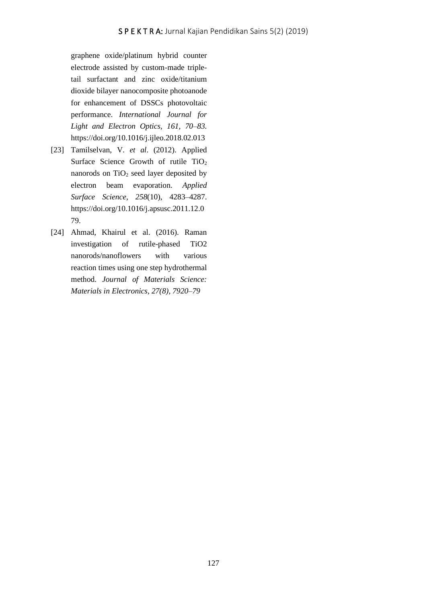graphene oxide/platinum hybrid counter electrode assisted by custom-made tripletail surfactant and zinc oxide/titanium dioxide bilayer nanocomposite photoanode for enhancement of DSSCs photovoltaic performance. *International Journal for Light and Electron Optics, 161, 70–83.* https://doi.org/10.1016/j.ijleo.2018.02.013

- [23] Tamilselvan, V. *et al*. (2012). Applied Surface Science Growth of rutile TiO<sub>2</sub> nanorods on  $TiO<sub>2</sub>$  seed layer deposited by electron beam evaporation. *Applied Surface Science*, *258*(10), 4283–4287. [https://doi.org/10.1016/j.apsusc.2011.12.0](https://doi.org/10.1016/j.apsusc.2011.12.079) [79.](https://doi.org/10.1016/j.apsusc.2011.12.079)
- [24] Ahmad, Khairul et al. (2016). Raman investigation of rutile-phased TiO2 nanorods/nanoflowers with various reaction times using one step hydrothermal method. *Journal of Materials Science: Materials in Electronics, 27(8), 7920–79*